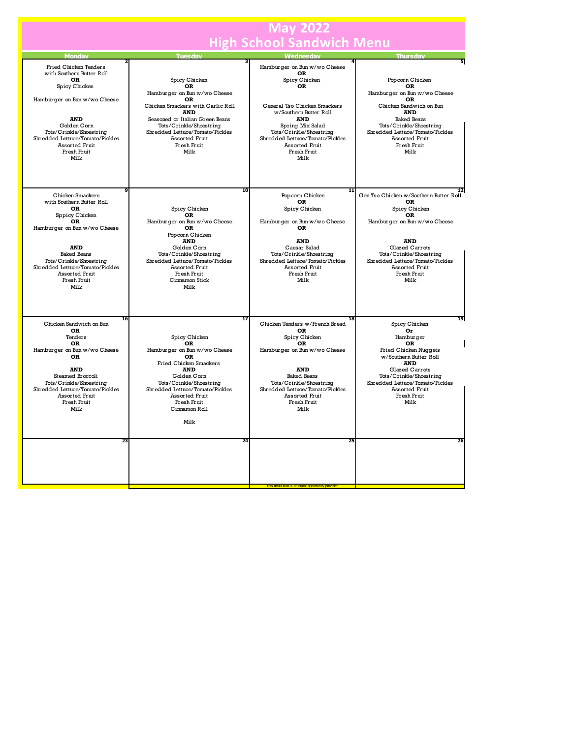|                                                                                                                                                                                                                                                               | <b>May 2022</b>                                                                                                                                                                                                                                              |                                                                                                                                                                                                                                                                     |                                                                                                                                                                                                                                                                |
|---------------------------------------------------------------------------------------------------------------------------------------------------------------------------------------------------------------------------------------------------------------|--------------------------------------------------------------------------------------------------------------------------------------------------------------------------------------------------------------------------------------------------------------|---------------------------------------------------------------------------------------------------------------------------------------------------------------------------------------------------------------------------------------------------------------------|----------------------------------------------------------------------------------------------------------------------------------------------------------------------------------------------------------------------------------------------------------------|
| <b>High School Sandwich Menu</b>                                                                                                                                                                                                                              |                                                                                                                                                                                                                                                              |                                                                                                                                                                                                                                                                     |                                                                                                                                                                                                                                                                |
| <b>Monday</b>                                                                                                                                                                                                                                                 | <b>Tuesday</b>                                                                                                                                                                                                                                               | Wednesdav                                                                                                                                                                                                                                                           | <b>Thursdav</b>                                                                                                                                                                                                                                                |
| Fried Chicken Tenders<br>with Southern Butter Roll<br>OR<br>Spicy Chicken<br>Hamburger on Bun w/wo Cheese<br><b>AND</b><br>Golden Corn<br>Tots/Crinkle/Shoestring<br>Shredded Lettuce/Tomato/Pickles<br>Assorted Fruit<br>Fresh Fruit<br>Milk                 | Spicy Chicken<br>OR<br>Hamburger on Bun w/wo Cheese<br>OR<br>Chicken Smackers with Garlic Roll<br><b>AND</b><br>Seasoned or Italian Green Beans<br>Tots/Crinkle/Shoestring<br>Shredded Lettuce/Tomato/Pickles<br>Assorted Fruit<br>Fresh Fruit<br>Milk       | Hamburger on Bun w/wo Cheese<br>ΩR<br>Spicy Chicken<br><b>OR</b><br>General Tso Chicken Smackers<br>w/Southern Butter Roll<br><b>AND</b><br>Spring Mix Salad<br>Tots/Crinkle/Shoestring<br>Shredded Lettuce/Tomato/Pickles<br>Assorted Fruit<br>Fresh Fruit<br>Milk | Popcorn Chicken<br>OR<br>Hamburger on Bun w/wo Cheese<br>OR<br>Chicken Sandwich on Bun<br><b>AND</b><br><b>Baked Beans</b><br>Tots/Crinkle/Shoestring<br>Shredded Lettuce/Tomato/Pickles<br>Assorted Fruit<br>Fresh Fruit<br>Milk                              |
| Chicken Smackers<br>with Southern Butter Roll<br><b>OR</b><br>Sppicy Chicken<br>OR<br>Hamburger on Bun w/wo Cheese<br><b>AND</b><br><b>Baked Beans</b><br>Tots/Crinkle/Shoestring<br>Shredded Lettuce/Tomato/Pickles<br>Assorted Fruit<br>Fresh Fruit<br>Milk | 10<br>Spicy Chicken<br>OR<br>Hamburger on Bun w/wo Cheese<br>OR<br>Popcorn Chicken<br><b>AND</b><br>Golden Corn<br>Tots/Crinkle/Shoestring<br>Shredded Lettuce/Tomato/Pickles<br>Assorted Fruit<br>Fresh Fruit<br>Cinnamon Stick<br>Milk                     | 11<br>Popcorn Chicken<br>OR<br>Spicy Chicken<br>Hamburger on Bun w/wo Cheese<br>OR<br><b>AND</b><br>Caesar Salad<br>Tots/Crinkle/Shoestring<br>Shredded Lettuce/Tomato/Pickles<br>Assorted Fruit<br>Fresh Fruit<br>Milk                                             | 12<br>Gen Tso Chicken w/Southern Butter Roll<br><b>OR</b><br>Spicy Chicken<br><b>OR</b><br>Hamburger on Bun w/wo Cheese<br><b>AND</b><br>Glazed Carrots<br>Tots/Crinkle/Shoestring<br>Shredded Lettuce/Tomato/Pickles<br>Assorted Fruit<br>Fresh Fruit<br>Milk |
| 16<br>Chicken Sandwich on Bun<br>OR<br>Tenders<br>OR<br>Hamburger on Bun w/wo Cheese<br>OR<br><b>AND</b><br>Steamed Broccoli<br>Tots/Crinkle/Shoestring<br>Shredded Lettuce/Tomato/Pickles<br>Assorted Fruit<br>Fresh Fruit<br>Milk                           | 17<br>Spicy Chicken<br><b>OR</b><br>Hamburger on Bun w/wo Cheese<br>OR<br>Fried Chicken Smackers<br><b>AND</b><br>Golden Corn<br>Tots/Crinkle/Shoestring<br>Shredded Lettuce/Tomato/Pickles<br><b>Assorted Fruit</b><br>Fresh Fruit<br>Cinnamon Roll<br>Milk | 18<br>Chicken Tenders w/French Bread<br>OR<br>Spicy Chicken<br>OR<br>Hamburger on Bun w/wo Cheese<br><b>AND</b><br><b>Baked Beans</b><br>Tots/Crinkle/Shoestring<br>Shredded Lettuce/Tomato/Pickles<br>Assorted Fruit<br>Fresh Fruit<br>Milk                        | 19<br>Spicy Chicken<br>Or<br>Hamburger<br>OR<br>Fried Chicken Nuggets<br>w/Southern Butter Roll<br><b>AND</b><br>Glazed Carrots<br>Tots/Crinkle/Shoestring<br>Shredded Lettuce/Tomato/Pickles<br>Assorted Fruit<br>Fresh Fruit<br>Milk                         |
| 23                                                                                                                                                                                                                                                            | 24                                                                                                                                                                                                                                                           | 25                                                                                                                                                                                                                                                                  | 26                                                                                                                                                                                                                                                             |